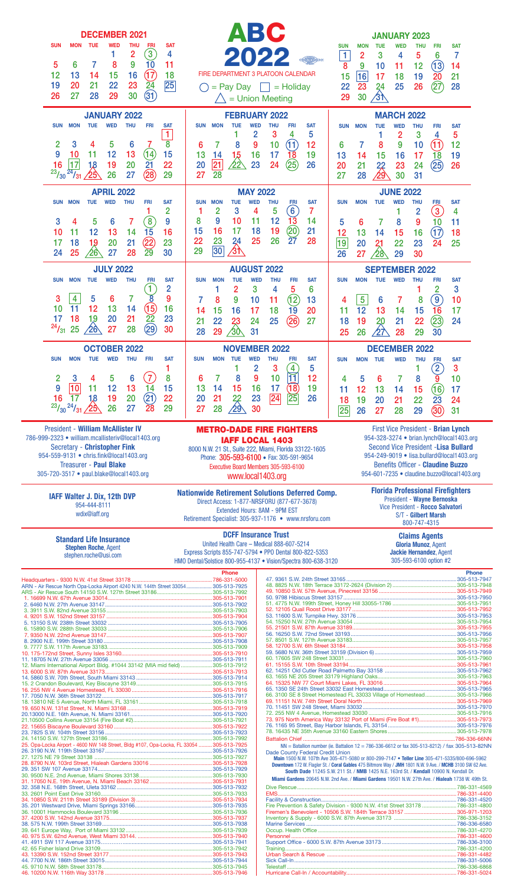| <b>DECEMBER 2021</b>                                                                                                        | BC                                                                                                                              | <b>JANUARY 2023</b>                                                                                                                                                                                        |
|-----------------------------------------------------------------------------------------------------------------------------|---------------------------------------------------------------------------------------------------------------------------------|------------------------------------------------------------------------------------------------------------------------------------------------------------------------------------------------------------|
| <b>MON</b><br><b>FRI</b><br><b>SAT</b><br><b>SUN</b><br><b>THU</b><br>TUE<br>WED<br>$\boxed{3}$<br>$\overline{2}$<br>4<br>1 |                                                                                                                                 | <b>SUN</b><br><b>THU</b><br><b>FRI</b><br><b>SAT</b><br><b>MON</b><br><b>TUE</b><br>WED                                                                                                                    |
| 10<br>9<br>7<br>11<br>6<br>8<br>5                                                                                           |                                                                                                                                 | 1<br>3<br>6<br>$\overline{c}$<br>5<br>7<br>4<br>(13)<br>8<br>9<br>12<br>10<br>14<br>11                                                                                                                     |
| $\left(17\right)$<br>16<br>12<br>13<br>15<br>18<br>14<br>$\overline{25}$<br>23<br>22<br>19<br>20<br>21                      | FIRE DEPARTMENT 3 PLATOON CALENDAR<br>$=$ Pay Day $\ $ = Holiday                                                                | 16<br>15<br>19<br>20<br>17<br>18<br>21<br>22<br>25<br>26<br>(27)<br>23<br>24<br>28                                                                                                                         |
| $\frac{24}{31}$<br>30<br>27<br>29<br>26<br>28                                                                               | = Union Meeting                                                                                                                 | $\sqrt{3}$<br>30<br>29                                                                                                                                                                                     |
| <b>JANUARY 2022</b>                                                                                                         | <b>FEBRUARY 2022</b>                                                                                                            | <b>MARCH 2022</b>                                                                                                                                                                                          |
| <b>MON</b><br><b>TUE</b><br><b>WED</b><br><b>THU</b><br><b>FRI</b><br><b>SUN</b><br><b>SAT</b><br>$\mathbf{1}$              | <b>THU</b><br><b>MON</b><br><b>TUE</b><br><b>WED</b><br><b>FRI</b><br><b>SAT</b><br><b>SUN</b><br>5<br>$\overline{2}$<br>3<br>4 | <b>TUE</b><br><b>WED</b><br><b>THU</b><br><b>SUN</b><br><b>MON</b><br><b>FRI</b><br><b>SAT</b><br>$\overline{2}$<br>3<br>5<br>4                                                                            |
| $\overline{8}$<br>3<br>$\overline{2}$<br>5<br>6<br>4                                                                        | (11)<br>10<br>8<br>9<br>12<br>7<br>6                                                                                            | 9<br>(11)<br>10<br>12<br>8<br>7<br>6                                                                                                                                                                       |
| (14)<br>15<br>9<br>12<br>13<br><u> 10</u><br>11<br> 17<br>$\overline{21}$<br>20<br>22<br>16<br>18<br>19                     | 18<br>13<br>1,5<br>16<br>17<br>19<br>14<br><u>⁄22</u><br>23<br>(25)<br>21<br>20<br>24<br>26                                     | 15<br>16<br>17<br>18<br>19<br>13<br>14<br>(25)<br>20<br>22<br>24<br>26<br>21<br>23                                                                                                                         |
| (28)<br>$^{23}/_{30}$<br>$\frac{1}{24}$ /31<br>26<br>27<br>29<br>25                                                         | 28<br>27                                                                                                                        | <u>⁄9</u><br>30<br>28<br>27<br>31                                                                                                                                                                          |
| <b>APRIL 2022</b><br><b>MON</b><br><b>TUE</b><br><b>WED</b><br><b>THU</b><br><b>FRI</b><br>SUN<br><b>SAT</b>                | <b>MAY 2022</b><br><b>TUE</b><br><b>WED</b><br><b>THU</b><br>SUN<br><b>MON</b><br><b>SAT</b><br><b>FRI</b>                      | <b>JUNE 2022</b><br><b>WED</b><br><b>THU</b><br><b>MON</b><br><b>TUE</b><br><b>SAT</b><br><b>SUN</b><br>FRI                                                                                                |
| 2                                                                                                                           | $6 \overline{6}$<br>3<br>5<br>7<br>$\overline{2}$<br>4                                                                          | $\left(3\right)$<br>$\overline{2}$<br>4                                                                                                                                                                    |
| $\left( 8\right)$<br>9<br>3<br>6<br>7<br>5<br>4<br>15<br>13<br>14<br>16<br>12<br>10<br>11                                   | 12<br>10<br>11<br>1 <sub>3</sub><br>8<br>9<br>14<br>(20)<br>19<br>16<br>17<br>18<br>15<br>21                                    | 6<br>8<br>9<br>10<br>11<br>5<br>(17)<br>12<br>13<br>16<br>14<br>15<br>18                                                                                                                                   |
| $\bigcirc$<br>17<br>18<br>19<br>20<br>21<br>23                                                                              | 26<br>23<br>25<br>28<br>22<br>24<br>$\overline{27}$<br>30<br>∕3ि<br>29                                                          | 19<br>22<br>20<br>23<br>24<br>25<br>21                                                                                                                                                                     |
| 28<br>24<br>25<br>27<br>29<br>30<br>$\lambda$ 26                                                                            |                                                                                                                                 | 26<br>27<br>30<br>29<br>⁄28                                                                                                                                                                                |
| <b>JULY 2022</b><br><b>SUN</b><br><b>MON</b><br><b>TUE</b><br><b>WED</b><br><b>THU</b><br><b>FRI</b><br><b>SAT</b>          | <b>AUGUST 2022</b><br><b>THU</b><br>SUN<br><b>MON</b><br><b>TUE</b><br><b>WED</b><br><b>FRI</b><br><b>SAT</b>                   | <b>SEPTEMBER 2022</b><br><b>MON</b><br><b>SUN</b><br><b>TUE</b><br><b>WED</b><br><b>THU</b><br><b>FRI</b><br><b>SAT</b>                                                                                    |
| 1<br>$\overline{2}$<br>$\breve{8}$<br>9<br>$\overline{\mathbf{4}}$<br>$\overline{7}$<br>3<br>5<br>6                         | 3<br>2<br>4<br>5<br>6<br>(12)<br>8<br>9<br>11<br>13<br>7<br>10                                                                  | 3<br>$\overline{2}$<br>$\left(9\right)$<br>$\overline{5}$<br>10<br>7<br>8<br>6                                                                                                                             |
| 11<br>12<br>14<br>16<br>13<br>10                                                                                            | 16<br>15<br>18<br>19<br>20<br>17<br>14                                                                                          | 4<br>12<br>13<br>15<br>17<br>11<br>14<br><b>16</b>                                                                                                                                                         |
| $\frac{15}{22}$<br>(29)<br>18<br>21<br>1,9<br>20<br>23<br>17<br>$^{24}/_{31}$<br>27<br>28<br>30<br>25<br>$\sqrt{26}$        | 22<br>(26)<br>23<br>24<br>25<br>21<br>27<br>31                                                                                  | (23)<br>22<br>19<br>21<br>24<br>18<br>20                                                                                                                                                                   |
|                                                                                                                             | 29<br>28<br>⁄30∕                                                                                                                | 29<br>26<br>28<br>30<br>25                                                                                                                                                                                 |
| <b>OCTOBER 2022</b><br>TUE<br><b>WED</b><br>THU<br><b>FRI</b><br><b>SUN</b><br><b>MON</b><br>SAT                            | <b>NOVEMBER 2022</b><br><b>THU</b><br><b>SUN</b><br><b>MON TUE</b><br><b>WED</b><br><b>SAT</b><br>FRI                           | <b>DECEMBER 2022</b><br><b>MON TUE</b><br><b>WED</b><br>THU<br><b>SAT</b><br><b>SUN</b><br>FRI                                                                                                             |
| 1<br>(7)<br>8<br>3 <sup>1</sup><br>$5\phantom{1}$<br>$6\phantom{a}$<br>$\overline{2}$<br>$\overline{4}$                     | $\begin{pmatrix} 4 \\ 11 \end{pmatrix}$<br>$\overline{c}$<br>3<br>5<br>9<br>10<br>7<br>8<br>12<br>ь                             | $\left[2\right]$<br>3<br>10<br>4<br>5<br>6<br>8<br>9                                                                                                                                                       |
| 10 <br>9<br>11<br>12<br>13<br>15<br>14                                                                                      | 15<br>16<br>17<br>(18)<br>19<br>13<br>14                                                                                        | (16)<br>15<br>12<br>14<br>17<br>11<br>13                                                                                                                                                                   |
| (21)<br>16<br>20<br>22<br>$\overline{17}$<br>19<br>18<br>$^{23}/_{30}$ $^{24}/_{31}$ $/25$<br>26<br>27<br>29<br>28          | $\vert 25 \vert$<br>$\overline{24}$<br>23<br>21<br>22<br>26<br>20<br>$\sqrt{29}$<br>28<br>30<br>27                              | 22<br>19<br>20<br>21<br>23<br>18<br>24<br>25<br>(30)<br>26<br>27<br>28<br>29<br>31                                                                                                                         |
| <b>President - William McAllister IV</b>                                                                                    | <b>METRO-DADE FIRE FIGHTERS</b>                                                                                                 | First Vice President - Brian Lynch                                                                                                                                                                         |
| 786-999-2323 · william.mcallisteriv@local1403.org                                                                           | <b>IAFF LOCAL 1403</b>                                                                                                          | 954-328-3274 • brian.lynch@local1403.org                                                                                                                                                                   |
| <b>Secretary - Christopher Fink</b><br>954-559-9131 · chris.fink@local1403.org                                              | 8000 N.W. 21 St., Suite 222, Miami, Florida 33122-1605<br>Phone: 305-593-6100 • Fax: 305-591-9654                               | <b>Second Vice President - Lisa Bullard</b><br>954-249-9019 · lisa.bullard@local1403.org                                                                                                                   |
| <b>Treasurer - Paul Blake</b><br>305-720-3517 • paul.blake@local1403.org                                                    | Executive Board Members 305-593-6100<br>www.local1403.org                                                                       | <b>Benefits Officer - Claudine Buzzo</b><br>954-601-7235 • claudine.buzzo@local1403.org                                                                                                                    |
|                                                                                                                             | <b>Nationwide Retirement Solutions Deferred Comp.</b>                                                                           | <b>Florida Professional Firefighters</b>                                                                                                                                                                   |
| IAFF Walter J. Dix, 12th DVP<br>954-444-8111                                                                                | Direct Access: 1-877-NRSFORU (877-677-3678)<br>Extended Hours: 8AM - 9PM EST                                                    | President - Wayne Bernoska<br>Vice President - Rocco Salvatori                                                                                                                                             |
| wdix@iaff.org                                                                                                               | Retirement Specialist: 305-937-1176 • www.nrsforu.com                                                                           | S/T - Gilbert Marsh<br>800-747-4315                                                                                                                                                                        |
| <b>Standard Life Insurance</b>                                                                                              | <b>DCFF Insurance Trust</b><br>United Health Care - Medical 888-607-5214                                                        | <b>Claims Agents</b><br><b>Gloria Munoz, Agent</b>                                                                                                                                                         |
| <b>Stephen Roche, Agent</b><br>stephen.roche@usi.com                                                                        | Express Scripts 855-747-5794 · PPO Dental 800-822-5353<br>HMO Dental/Solstice 800-955-4137 . Vision/Spectra 800-638-3120        | Jackie Hernandez, Agent<br>305-593-6100 option #2                                                                                                                                                          |
|                                                                                                                             | <b>Phone</b>                                                                                                                    | <b>Phone</b>                                                                                                                                                                                               |
| ARN - Air Rescue North Opa-Locka Airport 4240 N.W. 144th Street 33054 305-513-7925                                          |                                                                                                                                 |                                                                                                                                                                                                            |
|                                                                                                                             |                                                                                                                                 |                                                                                                                                                                                                            |
|                                                                                                                             |                                                                                                                                 |                                                                                                                                                                                                            |
|                                                                                                                             |                                                                                                                                 |                                                                                                                                                                                                            |
|                                                                                                                             |                                                                                                                                 |                                                                                                                                                                                                            |
| 12. Miami International Airport Bldg. #1044 33142 (MIA mid field)  305-513-7912                                             |                                                                                                                                 |                                                                                                                                                                                                            |
|                                                                                                                             |                                                                                                                                 |                                                                                                                                                                                                            |
|                                                                                                                             |                                                                                                                                 | 66. 3100 SE 8 Street Homestead FL 33033 Village of Homestead305-513-7966                                                                                                                                   |
|                                                                                                                             |                                                                                                                                 | 73. 975 North America Way 33132 Port of Miami (Fire Boat #1)305-513-7973                                                                                                                                   |
|                                                                                                                             |                                                                                                                                 |                                                                                                                                                                                                            |
|                                                                                                                             |                                                                                                                                 |                                                                                                                                                                                                            |
| 25. Opa-Locka Airport - 4600 NW 148 Street, Bldg #107, Opa-Locka, FL 33054 305-513-7925                                     |                                                                                                                                 | NN = Batallion number (ie. Battalion 12 = 786-336-6612 or fax 305-513-8212) / fax 305-513-82NN                                                                                                             |
|                                                                                                                             | Dade County Federal Credit Union                                                                                                | Main 1500 N.W. 107th Ave 305-471-5080 or 800-299-7147 • Teller Line 305-471-5335/800-696-5962<br>Downtown 172 W. Flagler St. / Coral Gables 475 Biltmore Way / JMH 1801 N.W. 9 Ave. / MCHB 3100 SW 62 Ave. |
|                                                                                                                             |                                                                                                                                 | South Dade 11245 S.W. 211 St. / NMB 1425 N.E. 163rd St. / Kendall 10900 N. Kendall Dr.<br>Miami Gardens 20645 N.W. 2nd Ave. / Miami Gardens 19501 N.W. 27th Ave. / Hialeah 1738 W. 49th St.                |
|                                                                                                                             |                                                                                                                                 |                                                                                                                                                                                                            |
|                                                                                                                             |                                                                                                                                 | Fire Prevention & Safety Division - 9300 N.W. 41st Street 33178  786-331-4800                                                                                                                              |
| 38. 575 N.W. 199th Street 33169…………………………………………………………………305-513-7938                                                        |                                                                                                                                 |                                                                                                                                                                                                            |
| 41. 4911 SW 117 Avenue 33175………………………………………………………………305-513-7941                                                            |                                                                                                                                 |                                                                                                                                                                                                            |
|                                                                                                                             |                                                                                                                                 |                                                                                                                                                                                                            |